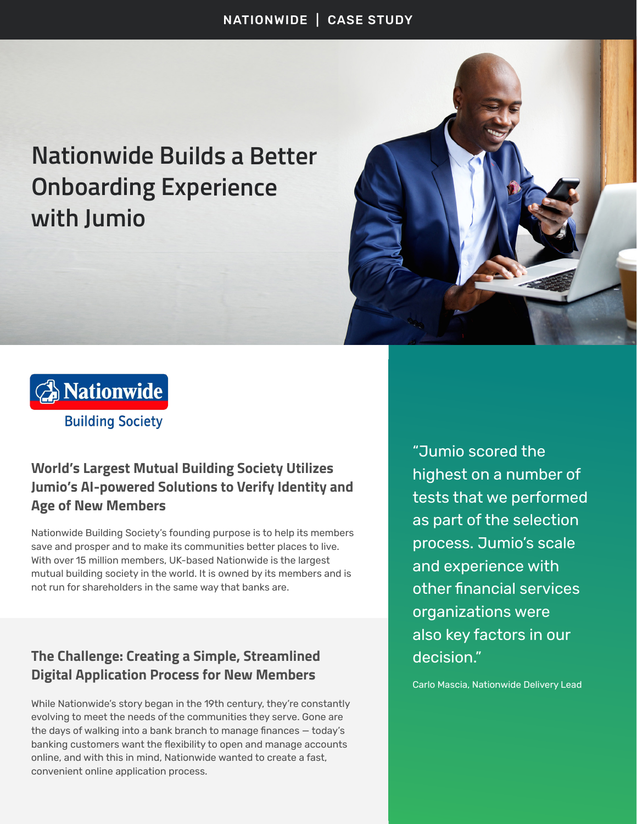# **Nationwide Builds a Better Onboarding Experience with Jumio**





## **World's Largest Mutual Building Society Utilizes Jumio's AI-powered Solutions to Verify Identity and Age of New Members**

Nationwide Building Society's founding purpose is to help its members save and prosper and to make its communities better places to live. With over 15 million members, UK-based Nationwide is the largest mutual building society in the world. It is owned by its members and is not run for shareholders in the same way that banks are.

### **The Challenge: Creating a Simple, Streamlined Digital Application Process for New Members**

While Nationwide's story began in the 19th century, they're constantly evolving to meet the needs of the communities they serve. Gone are the days of walking into a bank branch to manage finances — today's banking customers want the flexibility to open and manage accounts online, and with this in mind, Nationwide wanted to create a fast, convenient online application process.

"Jumio scored the highest on a number of tests that we performed as part of the selection process. Jumio's scale and experience with other financial services organizations were also key factors in our decision."

Carlo Mascia, Nationwide Delivery Lead